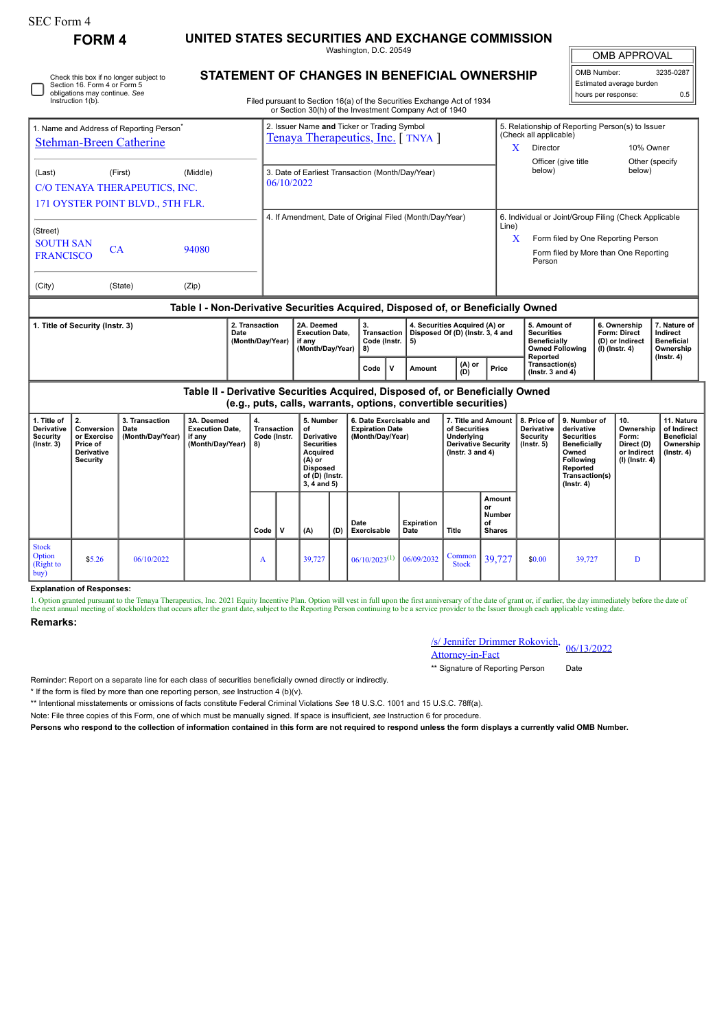| <b>SEC Form 4</b>                                                                                                            |                                                                                                                                                                                                  |  |                                                                                  |                                            |                                                                                                                                                                                  |                                                                |                                                                                                                                           |     |                                                                       |             |                                                                         |                                                                                                            |                                               |                                                                                    |                                                                                                                                                     |                                                                                                                                                       |                                                               |                                                                          |                                                                           |
|------------------------------------------------------------------------------------------------------------------------------|--------------------------------------------------------------------------------------------------------------------------------------------------------------------------------------------------|--|----------------------------------------------------------------------------------|--------------------------------------------|----------------------------------------------------------------------------------------------------------------------------------------------------------------------------------|----------------------------------------------------------------|-------------------------------------------------------------------------------------------------------------------------------------------|-----|-----------------------------------------------------------------------|-------------|-------------------------------------------------------------------------|------------------------------------------------------------------------------------------------------------|-----------------------------------------------|------------------------------------------------------------------------------------|-----------------------------------------------------------------------------------------------------------------------------------------------------|-------------------------------------------------------------------------------------------------------------------------------------------------------|---------------------------------------------------------------|--------------------------------------------------------------------------|---------------------------------------------------------------------------|
| <b>FORM 4</b>                                                                                                                |                                                                                                                                                                                                  |  | UNITED STATES SECURITIES AND EXCHANGE COMMISSION<br>Washington, D.C. 20549       |                                            |                                                                                                                                                                                  |                                                                |                                                                                                                                           |     |                                                                       |             |                                                                         |                                                                                                            |                                               |                                                                                    |                                                                                                                                                     | <b>OMB APPROVAL</b>                                                                                                                                   |                                                               |                                                                          |                                                                           |
| Check this box if no longer subject to<br>Section 16. Form 4 or Form 5<br>obligations may continue. See<br>Instruction 1(b). |                                                                                                                                                                                                  |  |                                                                                  |                                            | STATEMENT OF CHANGES IN BENEFICIAL OWNERSHIP<br>Filed pursuant to Section 16(a) of the Securities Exchange Act of 1934<br>or Section 30(h) of the Investment Company Act of 1940 |                                                                |                                                                                                                                           |     |                                                                       |             |                                                                         |                                                                                                            |                                               |                                                                                    |                                                                                                                                                     |                                                                                                                                                       | OMB Number:<br>hours per response:                            | Estimated average burden                                                 | 3235-0287<br>0.5                                                          |
| 1. Name and Address of Reporting Person<br><b>Stehman-Breen Catherine</b>                                                    |                                                                                                                                                                                                  |  |                                                                                  |                                            | 2. Issuer Name and Ticker or Trading Symbol<br>Tenaya Therapeutics, Inc. [TNYA]                                                                                                  |                                                                |                                                                                                                                           |     |                                                                       |             |                                                                         |                                                                                                            | X                                             | (Check all applicable)<br>Director                                                 |                                                                                                                                                     |                                                                                                                                                       | 5. Relationship of Reporting Person(s) to Issuer<br>10% Owner |                                                                          |                                                                           |
| (First)<br>(Middle)<br>(Last)<br>C/O TENAYA THERAPEUTICS, INC.<br>171 OYSTER POINT BLVD., 5TH FLR.                           |                                                                                                                                                                                                  |  |                                                                                  |                                            |                                                                                                                                                                                  | 3. Date of Earliest Transaction (Month/Day/Year)<br>06/10/2022 |                                                                                                                                           |     |                                                                       |             |                                                                         |                                                                                                            |                                               |                                                                                    | below)                                                                                                                                              | Officer (give title                                                                                                                                   |                                                               | Other (specify<br>below)                                                 |                                                                           |
| (Street)<br><b>SOUTH SAN</b><br>CA<br>94080<br><b>FRANCISCO</b>                                                              |                                                                                                                                                                                                  |  |                                                                                  |                                            |                                                                                                                                                                                  | 4. If Amendment, Date of Original Filed (Month/Day/Year)       |                                                                                                                                           |     |                                                                       |             |                                                                         |                                                                                                            |                                               | Line)                                                                              | 6. Individual or Joint/Group Filing (Check Applicable<br>X<br>Form filed by One Reporting Person<br>Form filed by More than One Reporting<br>Person |                                                                                                                                                       |                                                               |                                                                          |                                                                           |
| (City)<br>(State)<br>(Zip)                                                                                                   |                                                                                                                                                                                                  |  |                                                                                  |                                            |                                                                                                                                                                                  |                                                                |                                                                                                                                           |     |                                                                       |             |                                                                         |                                                                                                            |                                               |                                                                                    |                                                                                                                                                     |                                                                                                                                                       |                                                               |                                                                          |                                                                           |
|                                                                                                                              |                                                                                                                                                                                                  |  | Table I - Non-Derivative Securities Acquired, Disposed of, or Beneficially Owned |                                            |                                                                                                                                                                                  |                                                                |                                                                                                                                           |     |                                                                       |             |                                                                         |                                                                                                            |                                               |                                                                                    |                                                                                                                                                     |                                                                                                                                                       |                                                               |                                                                          |                                                                           |
| 1. Title of Security (Instr. 3)                                                                                              |                                                                                                                                                                                                  |  |                                                                                  | 2. Transaction<br>Date<br>(Month/Day/Year) |                                                                                                                                                                                  |                                                                | 2A. Deemed<br><b>Execution Date,</b><br>if any<br>(Month/Day/Year)                                                                        |     | 3.<br>Transaction<br>Code (Instr.<br>8)                               |             | 4. Securities Acquired (A) or<br>Disposed Of (D) (Instr. 3, 4 and<br>5) |                                                                                                            |                                               | 5. Amount of<br><b>Securities</b><br><b>Beneficially</b><br><b>Owned Following</b> |                                                                                                                                                     |                                                                                                                                                       | (I) (Instr. 4)                                                | 6. Ownership<br><b>Form: Direct</b><br>(D) or Indirect                   | 7. Nature of<br>Indirect<br><b>Beneficial</b><br>Ownership                |
|                                                                                                                              |                                                                                                                                                                                                  |  |                                                                                  |                                            |                                                                                                                                                                                  |                                                                |                                                                                                                                           |     | Code                                                                  | $\mathbf v$ | Amount                                                                  | (A) or<br>(D)                                                                                              |                                               | Price                                                                              | Reported<br>Transaction(s)<br>$($ Instr. 3 and 4 $)$                                                                                                |                                                                                                                                                       |                                                               |                                                                          | $($ Instr. 4 $)$                                                          |
|                                                                                                                              |                                                                                                                                                                                                  |  | Table II - Derivative Securities Acquired, Disposed of, or Beneficially Owned    |                                            |                                                                                                                                                                                  |                                                                |                                                                                                                                           |     |                                                                       |             | (e.g., puts, calls, warrants, options, convertible securities)          |                                                                                                            |                                               |                                                                                    |                                                                                                                                                     |                                                                                                                                                       |                                                               |                                                                          |                                                                           |
| 1. Title of<br>Derivative<br><b>Security</b><br>$($ Instr. $3)$                                                              | 2.<br>3. Transaction<br>3A. Deemed<br><b>Execution Date,</b><br>Conversion<br>Date<br>or Exercise<br>(Month/Day/Year)<br>if any<br>(Month/Day/Year)<br>Price of<br>Derivative<br><b>Security</b> |  |                                                                                  | 4.                                         | <b>Transaction</b><br>Code (Instr.<br>8)                                                                                                                                         |                                                                | 5. Number<br>of<br>Derivative<br><b>Securities</b><br><b>Acquired</b><br>$(A)$ or<br><b>Disposed</b><br>of (D) (Instr.<br>$3, 4$ and $5)$ |     | 6. Date Exercisable and<br><b>Expiration Date</b><br>(Month/Day/Year) |             |                                                                         | 7. Title and Amount<br>of Securities<br>Underlying<br><b>Derivative Security</b><br>$($ Instr. 3 and 4 $)$ |                                               |                                                                                    | 8. Price of<br>Derivative<br>Security<br>$($ Instr. 5 $)$                                                                                           | 9. Number of<br>derivative<br><b>Securities</b><br><b>Beneficially</b><br>Owned<br><b>Following</b><br>Reported<br>Transaction(s)<br>$($ Instr. 4 $)$ |                                                               | 10.<br>Ownership<br>Form:<br>Direct (D)<br>or Indirect<br>(I) (Instr. 4) | 11. Nature<br>of Indirect<br><b>Beneficial</b><br>Ownership<br>(Instr. 4) |
|                                                                                                                              |                                                                                                                                                                                                  |  |                                                                                  |                                            | Code                                                                                                                                                                             | v                                                              | (A)                                                                                                                                       | (D) | Date<br>Exercisable                                                   |             | Expiration<br>Date                                                      | Title                                                                                                      | Amount<br>or<br>Number<br>of<br><b>Shares</b> |                                                                                    |                                                                                                                                                     |                                                                                                                                                       |                                                               |                                                                          |                                                                           |

## **Explanation of Responses:**

1. Option granted pursuant to the Tenaya Therapeutics, Inc. 2021 Equity Incentive Plan. Option will vest in full upon the first anniversary of the date of grant or, if earlier, the day immediately before the date of the as

## **Remarks:**

Stock Option (Right to buy)

| /s/ Jennifer Drimmer Rokovich, 06/13/2022 |  |  |  |
|-------------------------------------------|--|--|--|
| <b>Attorney-in-Fact</b>                   |  |  |  |

Common 39,727 \$0.00 39,727 D

\*\* Signature of Reporting Person Date

Reminder: Report on a separate line for each class of securities beneficially owned directly or indirectly.

\* If the form is filed by more than one reporting person, *see* Instruction 4 (b)(v).

\*\* Intentional misstatements or omissions of facts constitute Federal Criminal Violations *See* 18 U.S.C. 1001 and 15 U.S.C. 78ff(a).

\$5.26 06/10/2022 <sup>A</sup> 39,727 06/10/2023(1) 06/09/2032 Common

Note: File three copies of this Form, one of which must be manually signed. If space is insufficient, *see* Instruction 6 for procedure.

**Persons who respond to the collection of information contained in this form are not required to respond unless the form displays a currently valid OMB Number.**